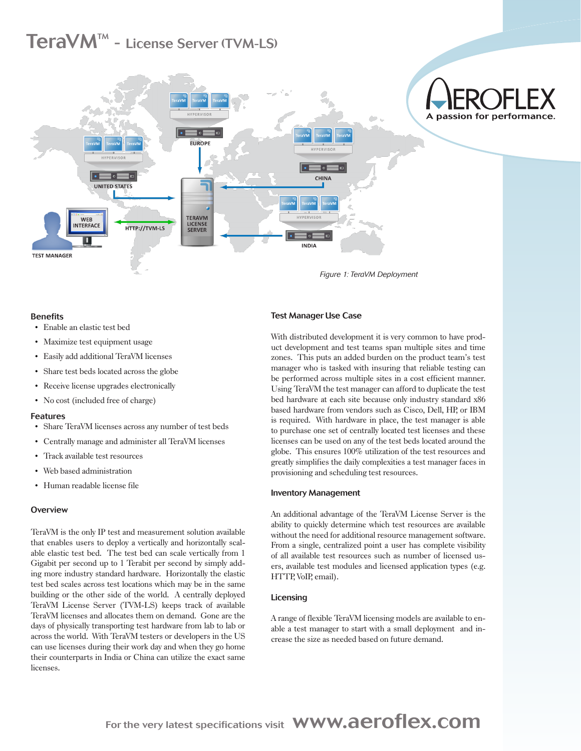# $\text{TeravM}^{\text{\tiny{TM}}}$  - License Server (TVM-LS)



# **Benefits**

- Enable an elastic test bed
- Maximize test equipment usage
- Easily add additional TeraVM licenses
- Share test beds located across the globe
- Receive license upgrades electronically
- No cost (included free of charge)

# Features

- Share TeraVM licenses across any number of test beds
- Centrally manage and administer all TeraVM licenses
- Track available test resources
- Web based administration
- Human readable license file

# **Overview**

TeraVM is the only IP test and measurement solution available that enables users to deploy a vertically and horizontally scalable elastic test bed. The test bed can scale vertically from 1 Gigabit per second up to 1 Terabit per second by simply adding more industry standard hardware. Horizontally the elastic test bed scales across test locations which may be in the same building or the other side of the world. A centrally deployed TeraVM License Server (TVM-LS) keeps track of available TeraVM licenses and allocates them on demand. Gone are the days of physically transporting test hardware from lab to lab or across the world. With TeraVM testers or developers in the US can use licenses during their work day and when they go home their counterparts in India or China can utilize the exact same licenses.

*Figure 1: TeraVM Deployment*

# Test Manager Use Case

With distributed development it is very common to have product development and test teams span multiple sites and time zones. This puts an added burden on the product team's test manager who is tasked with insuring that reliable testing can be performed across multiple sites in a cost efficient manner. Using TeraVM the test manager can afford to duplicate the test bed hardware at each site because only industry standard x86 based hardware from vendors such as Cisco, Dell, HP, or IBM is required. With hardware in place, the test manager is able to purchase one set of centrally located test licenses and these licenses can be used on any of the test beds located around the globe. This ensures 100% utilization of the test resources and greatly simplifies the daily complexities a test manager faces in provisioning and scheduling test resources.

# Inventory Management

An additional advantage of the TeraVM License Server is the ability to quickly determine which test resources are available without the need for additional resource management software. From a single, centralized point a user has complete visibility of all available test resources such as number of licensed users, available test modules and licensed application types (e.g. HTTP, VoIP, email).

# Licensing

A range of flexible TeraVM licensing models are available to enable a test manager to start with a small deployment and increase the size as needed based on future demand.